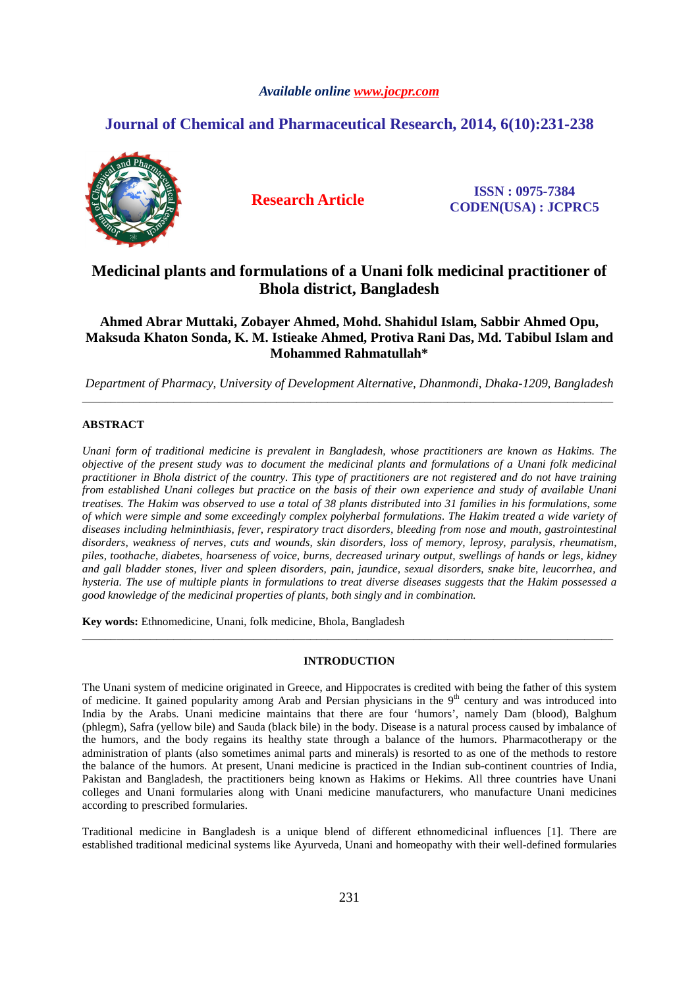# *Available online www.jocpr.com*

# **Journal of Chemical and Pharmaceutical Research, 2014, 6(10):231-238**



**Research Article ISSN : 0975-7384 CODEN(USA) : JCPRC5**

# **Medicinal plants and formulations of a Unani folk medicinal practitioner of Bhola district, Bangladesh**

# **Ahmed Abrar Muttaki, Zobayer Ahmed, Mohd. Shahidul Islam, Sabbir Ahmed Opu, Maksuda Khaton Sonda, K. M. Istieake Ahmed, Protiva Rani Das, Md. Tabibul Islam and Mohammed Rahmatullah\***

*Department of Pharmacy, University of Development Alternative, Dhanmondi, Dhaka-1209, Bangladesh*  \_\_\_\_\_\_\_\_\_\_\_\_\_\_\_\_\_\_\_\_\_\_\_\_\_\_\_\_\_\_\_\_\_\_\_\_\_\_\_\_\_\_\_\_\_\_\_\_\_\_\_\_\_\_\_\_\_\_\_\_\_\_\_\_\_\_\_\_\_\_\_\_\_\_\_\_\_\_\_\_\_\_\_\_\_\_\_\_\_\_\_\_\_

# **ABSTRACT**

*Unani form of traditional medicine is prevalent in Bangladesh, whose practitioners are known as Hakims. The objective of the present study was to document the medicinal plants and formulations of a Unani folk medicinal practitioner in Bhola district of the country. This type of practitioners are not registered and do not have training from established Unani colleges but practice on the basis of their own experience and study of available Unani treatises. The Hakim was observed to use a total of 38 plants distributed into 31 families in his formulations, some of which were simple and some exceedingly complex polyherbal formulations. The Hakim treated a wide variety of diseases including helminthiasis, fever, respiratory tract disorders, bleeding from nose and mouth, gastrointestinal disorders, weakness of nerves, cuts and wounds, skin disorders, loss of memory, leprosy, paralysis, rheumatism, piles, toothache, diabetes, hoarseness of voice, burns, decreased urinary output, swellings of hands or legs, kidney and gall bladder stones, liver and spleen disorders, pain, jaundice, sexual disorders, snake bite, leucorrhea, and hysteria. The use of multiple plants in formulations to treat diverse diseases suggests that the Hakim possessed a good knowledge of the medicinal properties of plants, both singly and in combination.* 

**Key words:** Ethnomedicine, Unani, folk medicine, Bhola, Bangladesh

## **INTRODUCTION**

\_\_\_\_\_\_\_\_\_\_\_\_\_\_\_\_\_\_\_\_\_\_\_\_\_\_\_\_\_\_\_\_\_\_\_\_\_\_\_\_\_\_\_\_\_\_\_\_\_\_\_\_\_\_\_\_\_\_\_\_\_\_\_\_\_\_\_\_\_\_\_\_\_\_\_\_\_\_\_\_\_\_\_\_\_\_\_\_\_\_\_\_\_

The Unani system of medicine originated in Greece, and Hippocrates is credited with being the father of this system of medicine. It gained popularity among Arab and Persian physicians in the  $9<sup>th</sup>$  century and was introduced into India by the Arabs. Unani medicine maintains that there are four 'humors', namely Dam (blood), Balghum (phlegm), Safra (yellow bile) and Sauda (black bile) in the body. Disease is a natural process caused by imbalance of the humors, and the body regains its healthy state through a balance of the humors. Pharmacotherapy or the administration of plants (also sometimes animal parts and minerals) is resorted to as one of the methods to restore the balance of the humors. At present, Unani medicine is practiced in the Indian sub-continent countries of India, Pakistan and Bangladesh, the practitioners being known as Hakims or Hekims. All three countries have Unani colleges and Unani formularies along with Unani medicine manufacturers, who manufacture Unani medicines according to prescribed formularies.

Traditional medicine in Bangladesh is a unique blend of different ethnomedicinal influences [1]. There are established traditional medicinal systems like Ayurveda, Unani and homeopathy with their well-defined formularies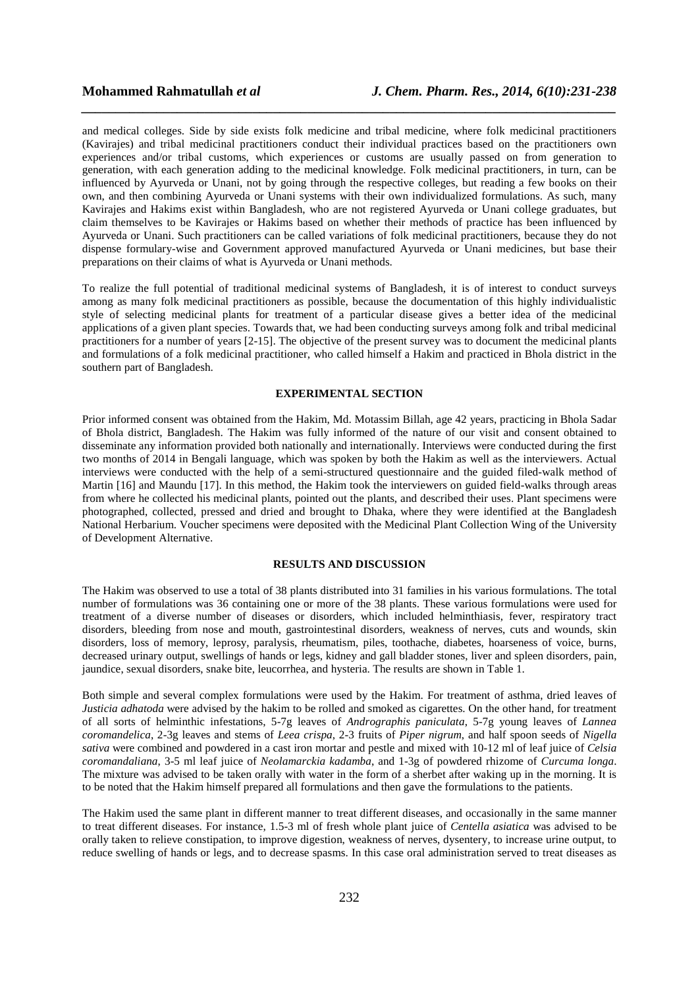and medical colleges. Side by side exists folk medicine and tribal medicine, where folk medicinal practitioners (Kavirajes) and tribal medicinal practitioners conduct their individual practices based on the practitioners own experiences and/or tribal customs, which experiences or customs are usually passed on from generation to generation, with each generation adding to the medicinal knowledge. Folk medicinal practitioners, in turn, can be influenced by Ayurveda or Unani, not by going through the respective colleges, but reading a few books on their own, and then combining Ayurveda or Unani systems with their own individualized formulations. As such, many Kavirajes and Hakims exist within Bangladesh, who are not registered Ayurveda or Unani college graduates, but claim themselves to be Kavirajes or Hakims based on whether their methods of practice has been influenced by Ayurveda or Unani. Such practitioners can be called variations of folk medicinal practitioners, because they do not dispense formulary-wise and Government approved manufactured Ayurveda or Unani medicines, but base their preparations on their claims of what is Ayurveda or Unani methods.

*\_\_\_\_\_\_\_\_\_\_\_\_\_\_\_\_\_\_\_\_\_\_\_\_\_\_\_\_\_\_\_\_\_\_\_\_\_\_\_\_\_\_\_\_\_\_\_\_\_\_\_\_\_\_\_\_\_\_\_\_\_\_\_\_\_\_\_\_\_\_\_\_\_\_\_\_\_\_*

To realize the full potential of traditional medicinal systems of Bangladesh, it is of interest to conduct surveys among as many folk medicinal practitioners as possible, because the documentation of this highly individualistic style of selecting medicinal plants for treatment of a particular disease gives a better idea of the medicinal applications of a given plant species. Towards that, we had been conducting surveys among folk and tribal medicinal practitioners for a number of years [2-15]. The objective of the present survey was to document the medicinal plants and formulations of a folk medicinal practitioner, who called himself a Hakim and practiced in Bhola district in the southern part of Bangladesh.

# **EXPERIMENTAL SECTION**

Prior informed consent was obtained from the Hakim, Md. Motassim Billah, age 42 years, practicing in Bhola Sadar of Bhola district, Bangladesh. The Hakim was fully informed of the nature of our visit and consent obtained to disseminate any information provided both nationally and internationally. Interviews were conducted during the first two months of 2014 in Bengali language, which was spoken by both the Hakim as well as the interviewers. Actual interviews were conducted with the help of a semi-structured questionnaire and the guided filed-walk method of Martin [16] and Maundu [17]. In this method, the Hakim took the interviewers on guided field-walks through areas from where he collected his medicinal plants, pointed out the plants, and described their uses. Plant specimens were photographed, collected, pressed and dried and brought to Dhaka, where they were identified at the Bangladesh National Herbarium. Voucher specimens were deposited with the Medicinal Plant Collection Wing of the University of Development Alternative.

### **RESULTS AND DISCUSSION**

The Hakim was observed to use a total of 38 plants distributed into 31 families in his various formulations. The total number of formulations was 36 containing one or more of the 38 plants. These various formulations were used for treatment of a diverse number of diseases or disorders, which included helminthiasis, fever, respiratory tract disorders, bleeding from nose and mouth, gastrointestinal disorders, weakness of nerves, cuts and wounds, skin disorders, loss of memory, leprosy, paralysis, rheumatism, piles, toothache, diabetes, hoarseness of voice, burns, decreased urinary output, swellings of hands or legs, kidney and gall bladder stones, liver and spleen disorders, pain, jaundice, sexual disorders, snake bite, leucorrhea, and hysteria. The results are shown in Table 1.

Both simple and several complex formulations were used by the Hakim. For treatment of asthma, dried leaves of *Justicia adhatoda* were advised by the hakim to be rolled and smoked as cigarettes. On the other hand, for treatment of all sorts of helminthic infestations, 5-7g leaves of *Andrographis paniculata*, 5-7g young leaves of *Lannea coromandelica*, 2-3g leaves and stems of *Leea crispa*, 2-3 fruits of *Piper nigrum*, and half spoon seeds of *Nigella sativa* were combined and powdered in a cast iron mortar and pestle and mixed with 10-12 ml of leaf juice of *Celsia coromandaliana*, 3-5 ml leaf juice of *Neolamarckia kadamba*, and 1-3g of powdered rhizome of *Curcuma longa*. The mixture was advised to be taken orally with water in the form of a sherbet after waking up in the morning. It is to be noted that the Hakim himself prepared all formulations and then gave the formulations to the patients.

The Hakim used the same plant in different manner to treat different diseases, and occasionally in the same manner to treat different diseases. For instance, 1.5-3 ml of fresh whole plant juice of *Centella asiatica* was advised to be orally taken to relieve constipation, to improve digestion, weakness of nerves, dysentery, to increase urine output, to reduce swelling of hands or legs, and to decrease spasms. In this case oral administration served to treat diseases as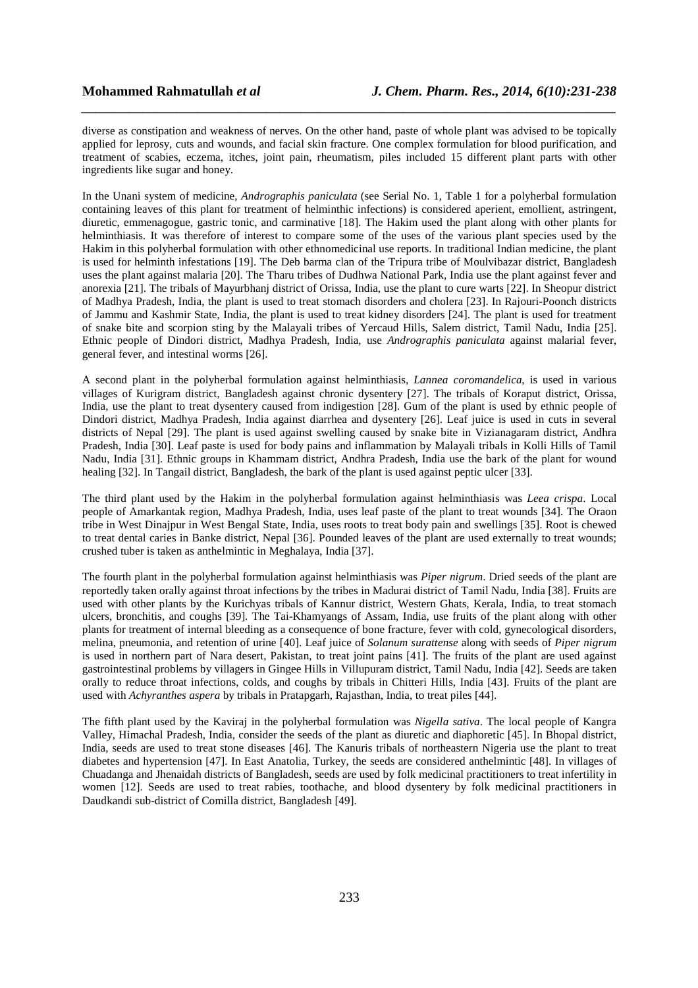diverse as constipation and weakness of nerves. On the other hand, paste of whole plant was advised to be topically applied for leprosy, cuts and wounds, and facial skin fracture. One complex formulation for blood purification, and treatment of scabies, eczema, itches, joint pain, rheumatism, piles included 15 different plant parts with other ingredients like sugar and honey.

*\_\_\_\_\_\_\_\_\_\_\_\_\_\_\_\_\_\_\_\_\_\_\_\_\_\_\_\_\_\_\_\_\_\_\_\_\_\_\_\_\_\_\_\_\_\_\_\_\_\_\_\_\_\_\_\_\_\_\_\_\_\_\_\_\_\_\_\_\_\_\_\_\_\_\_\_\_\_*

In the Unani system of medicine, *Andrographis paniculata* (see Serial No. 1, Table 1 for a polyherbal formulation containing leaves of this plant for treatment of helminthic infections) is considered aperient, emollient, astringent, diuretic, emmenagogue, gastric tonic, and carminative [18]. The Hakim used the plant along with other plants for helminthiasis. It was therefore of interest to compare some of the uses of the various plant species used by the Hakim in this polyherbal formulation with other ethnomedicinal use reports. In traditional Indian medicine, the plant is used for helminth infestations [19]. The Deb barma clan of the Tripura tribe of Moulvibazar district, Bangladesh uses the plant against malaria [20]. The Tharu tribes of Dudhwa National Park, India use the plant against fever and anorexia [21]. The tribals of Mayurbhanj district of Orissa, India, use the plant to cure warts [22]. In Sheopur district of Madhya Pradesh, India, the plant is used to treat stomach disorders and cholera [23]. In Rajouri-Poonch districts of Jammu and Kashmir State, India, the plant is used to treat kidney disorders [24]. The plant is used for treatment of snake bite and scorpion sting by the Malayali tribes of Yercaud Hills, Salem district, Tamil Nadu, India [25]. Ethnic people of Dindori district, Madhya Pradesh, India, use *Andrographis paniculata* against malarial fever, general fever, and intestinal worms [26].

A second plant in the polyherbal formulation against helminthiasis, *Lannea coromandelica*, is used in various villages of Kurigram district, Bangladesh against chronic dysentery [27]. The tribals of Koraput district, Orissa, India, use the plant to treat dysentery caused from indigestion [28]. Gum of the plant is used by ethnic people of Dindori district, Madhya Pradesh, India against diarrhea and dysentery [26]. Leaf juice is used in cuts in several districts of Nepal [29]. The plant is used against swelling caused by snake bite in Vizianagaram district, Andhra Pradesh, India [30]. Leaf paste is used for body pains and inflammation by Malayali tribals in Kolli Hills of Tamil Nadu, India [31]. Ethnic groups in Khammam district, Andhra Pradesh, India use the bark of the plant for wound healing [32]. In Tangail district, Bangladesh, the bark of the plant is used against peptic ulcer [33].

The third plant used by the Hakim in the polyherbal formulation against helminthiasis was *Leea crispa*. Local people of Amarkantak region, Madhya Pradesh, India, uses leaf paste of the plant to treat wounds [34]. The Oraon tribe in West Dinajpur in West Bengal State, India, uses roots to treat body pain and swellings [35]. Root is chewed to treat dental caries in Banke district, Nepal [36]. Pounded leaves of the plant are used externally to treat wounds; crushed tuber is taken as anthelmintic in Meghalaya, India [37].

The fourth plant in the polyherbal formulation against helminthiasis was *Piper nigrum*. Dried seeds of the plant are reportedly taken orally against throat infections by the tribes in Madurai district of Tamil Nadu, India [38]. Fruits are used with other plants by the Kurichyas tribals of Kannur district, Western Ghats, Kerala, India, to treat stomach ulcers, bronchitis, and coughs [39]. The Tai-Khamyangs of Assam, India, use fruits of the plant along with other plants for treatment of internal bleeding as a consequence of bone fracture, fever with cold, gynecological disorders, melina, pneumonia, and retention of urine [40]. Leaf juice of *Solanum surattense* along with seeds of *Piper nigrum* is used in northern part of Nara desert, Pakistan, to treat joint pains [41]. The fruits of the plant are used against gastrointestinal problems by villagers in Gingee Hills in Villupuram district, Tamil Nadu, India [42]. Seeds are taken orally to reduce throat infections, colds, and coughs by tribals in Chitteri Hills, India [43]. Fruits of the plant are used with *Achyranthes aspera* by tribals in Pratapgarh, Rajasthan, India, to treat piles [44].

The fifth plant used by the Kaviraj in the polyherbal formulation was *Nigella sativa*. The local people of Kangra Valley, Himachal Pradesh, India, consider the seeds of the plant as diuretic and diaphoretic [45]. In Bhopal district, India, seeds are used to treat stone diseases [46]. The Kanuris tribals of northeastern Nigeria use the plant to treat diabetes and hypertension [47]. In East Anatolia, Turkey, the seeds are considered anthelmintic [48]. In villages of Chuadanga and Jhenaidah districts of Bangladesh, seeds are used by folk medicinal practitioners to treat infertility in women [12]. Seeds are used to treat rabies, toothache, and blood dysentery by folk medicinal practitioners in Daudkandi sub-district of Comilla district, Bangladesh [49].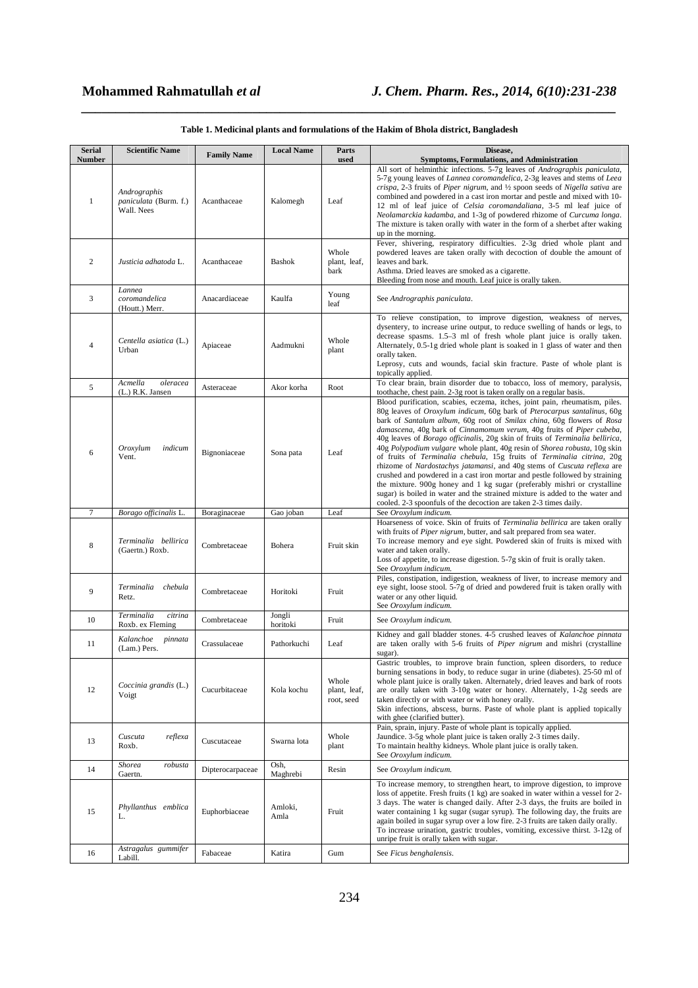| <b>Serial</b><br><b>Number</b> | <b>Scientific Name</b>                              | <b>Family Name</b> | <b>Local Name</b>  | Parts<br>used                       | Disease,<br><b>Symptoms, Formulations, and Administration</b>                                                                                                                                                                                                                                                                                                                                                                                                                                                                                                                                                                                                                                                                                                                                                                                                                                                                                                                                                      |
|--------------------------------|-----------------------------------------------------|--------------------|--------------------|-------------------------------------|--------------------------------------------------------------------------------------------------------------------------------------------------------------------------------------------------------------------------------------------------------------------------------------------------------------------------------------------------------------------------------------------------------------------------------------------------------------------------------------------------------------------------------------------------------------------------------------------------------------------------------------------------------------------------------------------------------------------------------------------------------------------------------------------------------------------------------------------------------------------------------------------------------------------------------------------------------------------------------------------------------------------|
| $\mathbf{1}$                   | Andrographis<br>paniculata (Burm. f.)<br>Wall. Nees | Acanthaceae        | Kalomegh           | Leaf                                | All sort of helminthic infections. 5-7g leaves of Andrographis paniculata,<br>5-7g young leaves of Lannea coromandelica, 2-3g leaves and stems of Leea<br>crispa, 2-3 fruits of Piper nigrum, and $\frac{1}{2}$ spoon seeds of Nigella sativa are<br>combined and powdered in a cast iron mortar and pestle and mixed with 10-<br>12 ml of leaf juice of <i>Celsia coromandaliana</i> , 3-5 ml leaf juice of<br>Neolamarckia kadamba, and 1-3g of powdered rhizome of Curcuma longa.<br>The mixture is taken orally with water in the form of a sherbet after waking<br>up in the morning.                                                                                                                                                                                                                                                                                                                                                                                                                         |
| $\overline{2}$                 | Justicia adhatoda L.                                | Acanthaceae        | <b>Bashok</b>      | Whole<br>plant, leaf,<br>bark       | Fever, shivering, respiratory difficulties. 2-3g dried whole plant and<br>powdered leaves are taken orally with decoction of double the amount of<br>leaves and bark.<br>Asthma. Dried leaves are smoked as a cigarette.<br>Bleeding from nose and mouth. Leaf juice is orally taken.                                                                                                                                                                                                                                                                                                                                                                                                                                                                                                                                                                                                                                                                                                                              |
| 3                              | Lannea<br>coromandelica<br>(Houtt.) Merr.           | Anacardiaceae      | Kaulfa             | Young<br>leaf                       | See Andrographis paniculata.                                                                                                                                                                                                                                                                                                                                                                                                                                                                                                                                                                                                                                                                                                                                                                                                                                                                                                                                                                                       |
| $\overline{4}$                 | Centella asiatica (L.)<br>Urban                     | Apiaceae           | Aadmukni           | Whole<br>plant                      | To relieve constipation, to improve digestion, weakness of nerves,<br>dysentery, to increase urine output, to reduce swelling of hands or legs, to<br>decrease spasms. 1.5-3 ml of fresh whole plant juice is orally taken.<br>Alternately, 0.5-1g dried whole plant is soaked in 1 glass of water and then<br>orally taken.<br>Leprosy, cuts and wounds, facial skin fracture. Paste of whole plant is<br>topically applied.                                                                                                                                                                                                                                                                                                                                                                                                                                                                                                                                                                                      |
| 5                              | Acmella<br>oleracea                                 | Asteraceae         | Akor korha         | Root                                | To clear brain, brain disorder due to tobacco, loss of memory, paralysis,                                                                                                                                                                                                                                                                                                                                                                                                                                                                                                                                                                                                                                                                                                                                                                                                                                                                                                                                          |
| 6                              | (L.) R.K. Jansen<br>Oroxylum<br>indicum<br>Vent.    | Bignoniaceae       | Sona pata          | Leaf                                | toothache, chest pain. 2-3g root is taken orally on a regular basis.<br>Blood purification, scabies, eczema, itches, joint pain, rheumatism, piles.<br>80g leaves of Oroxylum indicum, 60g bark of Pterocarpus santalinus, 60g<br>bark of Santalum album, 60g root of Smilax china, 60g flowers of Rosa<br>damascena, 40g bark of Cinnamomum verum, 40g fruits of Piper cubeba,<br>40g leaves of Borago officinalis, 20g skin of fruits of Terminalia bellirica,<br>40g Polypodium vulgare whole plant, 40g resin of Shorea robusta, 10g skin<br>of fruits of Terminalia chebula, 15g fruits of Terminalia citrina, 20g<br>rhizome of Nardostachys jatamansi, and 40g stems of Cuscuta reflexa are<br>crushed and powdered in a cast iron mortar and pestle followed by straining<br>the mixture. 900g honey and 1 kg sugar (preferably mishri or crystalline<br>sugar) is boiled in water and the strained mixture is added to the water and<br>cooled. 2-3 spoonfuls of the decoction are taken 2-3 times daily. |
| 7                              | Borago officinalis L.                               | Boraginaceae       | Gao joban          | Leaf                                | See Oroxylum indicum.                                                                                                                                                                                                                                                                                                                                                                                                                                                                                                                                                                                                                                                                                                                                                                                                                                                                                                                                                                                              |
| 8                              | Terminalia bellirica<br>(Gaertn.) Roxb.             | Combretaceae       | Bohera             | Fruit skin                          | Hoarseness of voice. Skin of fruits of <i>Terminalia bellirica</i> are taken orally<br>with fruits of Piper nigrum, butter, and salt prepared from sea water.<br>To increase memory and eye sight. Powdered skin of fruits is mixed with<br>water and taken orally.<br>Loss of appetite, to increase digestion. 5-7g skin of fruit is orally taken.<br>See Oroxylum indicum.                                                                                                                                                                                                                                                                                                                                                                                                                                                                                                                                                                                                                                       |
| 9                              | Terminalia<br>chebula<br>Retz.                      | Combretaceae       | Horitoki           | Fruit                               | Piles, constipation, indigestion, weakness of liver, to increase memory and<br>eye sight, loose stool. 5-7g of dried and powdered fruit is taken orally with<br>water or any other liquid.<br>See Oroxylum indicum.                                                                                                                                                                                                                                                                                                                                                                                                                                                                                                                                                                                                                                                                                                                                                                                                |
| 10                             | Terminalia<br>citrina<br>Roxb. ex Fleming           | Combretaceae       | Jongli<br>horitoki | Fruit                               | See Oroxylum indicum.                                                                                                                                                                                                                                                                                                                                                                                                                                                                                                                                                                                                                                                                                                                                                                                                                                                                                                                                                                                              |
| 11                             | Kalanchoe<br>pinnata<br>(Lam.) Pers.                | Crassulaceae       | Pathorkuchi        | Leaf                                | Kidney and gall bladder stones. 4-5 crushed leaves of Kalanchoe pinnata<br>are taken orally with 5-6 fruits of <i>Piper nigrum</i> and mishri (crystalline<br>sugar).                                                                                                                                                                                                                                                                                                                                                                                                                                                                                                                                                                                                                                                                                                                                                                                                                                              |
| 12                             | Coccinia grandis (L.)<br>Voigt                      | Cucurbitaceae      | Kola kochu         | Whole<br>plant, leaf,<br>root, seed | Gastric troubles, to improve brain function, spleen disorders, to reduce<br>burning sensations in body, to reduce sugar in urine (diabetes). 25-50 ml of<br>whole plant juice is orally taken. Alternately, dried leaves and bark of roots<br>are orally taken with 3-10g water or honey. Alternately, 1-2g seeds are<br>taken directly or with water or with honey orally.<br>Skin infections, abscess, burns. Paste of whole plant is applied topically<br>with ghee (clarified butter).                                                                                                                                                                                                                                                                                                                                                                                                                                                                                                                         |
| 13                             | Cuscuta<br>reflexa<br>Roxb.                         | Cuscutaceae        | Swarna lota        | Whole<br>plant                      | Pain, sprain, injury. Paste of whole plant is topically applied.<br>Jaundice. 3-5g whole plant juice is taken orally 2-3 times daily.<br>To maintain healthy kidneys. Whole plant juice is orally taken.<br>See Oroxylum indicum.                                                                                                                                                                                                                                                                                                                                                                                                                                                                                                                                                                                                                                                                                                                                                                                  |
| 14                             | Shorea<br>robusta<br>Gaertn.                        | Dipterocarpaceae   | Osh,<br>Maghrebi   | Resin                               | See Oroxylum indicum.                                                                                                                                                                                                                                                                                                                                                                                                                                                                                                                                                                                                                                                                                                                                                                                                                                                                                                                                                                                              |
| 15                             | Phyllanthus emblica<br>L.                           | Euphorbiaceae      | Amloki,<br>Amla    | Fruit                               | To increase memory, to strengthen heart, to improve digestion, to improve<br>loss of appetite. Fresh fruits (1 kg) are soaked in water within a vessel for 2-<br>3 days. The water is changed daily. After 2-3 days, the fruits are boiled in<br>water containing 1 kg sugar (sugar syrup). The following day, the fruits are<br>again boiled in sugar syrup over a low fire. 2-3 fruits are taken daily orally.<br>To increase urination, gastric troubles, vomiting, excessive thirst. 3-12g of<br>unripe fruit is orally taken with sugar.                                                                                                                                                                                                                                                                                                                                                                                                                                                                      |
| 16                             | Astragalus gummifer<br>Labill.                      | Fabaceae           | Katira             | Gum                                 | See Ficus benghalensis.                                                                                                                                                                                                                                                                                                                                                                                                                                                                                                                                                                                                                                                                                                                                                                                                                                                                                                                                                                                            |

# **Table 1. Medicinal plants and formulations of the Hakim of Bhola district, Bangladesh**

*\_\_\_\_\_\_\_\_\_\_\_\_\_\_\_\_\_\_\_\_\_\_\_\_\_\_\_\_\_\_\_\_\_\_\_\_\_\_\_\_\_\_\_\_\_\_\_\_\_\_\_\_\_\_\_\_\_\_\_\_\_\_\_\_\_\_\_\_\_\_\_\_\_\_\_\_\_\_*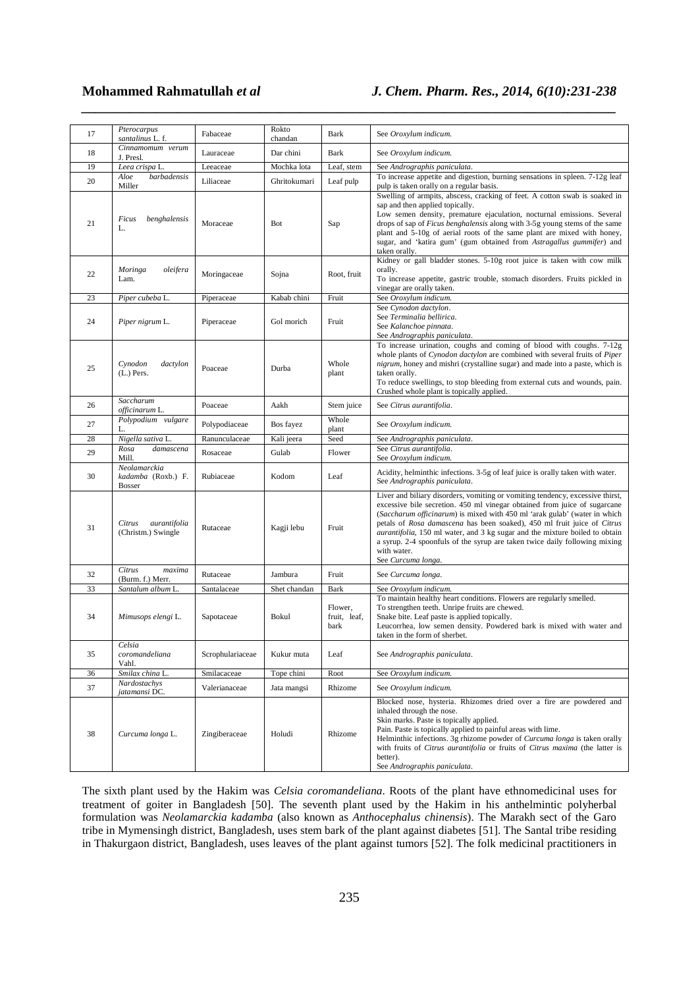# **Mohammed Rahmatullah** *et al**J. Chem. Pharm. Res., 2014, 6(10):231-238*

|    | Pterocarpus                                         |                  | Rokto        |                                 |                                                                                                                                                                                                                                                                                                                                                                                                                                                                                                                              |
|----|-----------------------------------------------------|------------------|--------------|---------------------------------|------------------------------------------------------------------------------------------------------------------------------------------------------------------------------------------------------------------------------------------------------------------------------------------------------------------------------------------------------------------------------------------------------------------------------------------------------------------------------------------------------------------------------|
| 17 | santalinus L. f.                                    | Fabaceae         | chandan      | Bark                            | See Oroxylum indicum.                                                                                                                                                                                                                                                                                                                                                                                                                                                                                                        |
| 18 | Cinnamomum verum<br>J. Presl.                       | Lauraceae        | Dar chini    | <b>Bark</b>                     | See Oroxylum indicum.                                                                                                                                                                                                                                                                                                                                                                                                                                                                                                        |
| 19 | Leea crispa L.<br>Aloe<br>barbadensis               | Leeaceae         | Mochka lota  | Leaf, stem                      | See Andrographis paniculata.<br>To increase appetite and digestion, burning sensations in spleen. 7-12g leaf                                                                                                                                                                                                                                                                                                                                                                                                                 |
| 20 | Miller                                              | Liliaceae        | Ghritokumari | Leaf pulp                       | pulp is taken orally on a regular basis.                                                                                                                                                                                                                                                                                                                                                                                                                                                                                     |
| 21 | benghalensis<br>Ficus<br>L.                         | Moraceae         | <b>Bot</b>   | Sap                             | Swelling of armpits, abscess, cracking of feet. A cotton swab is soaked in<br>sap and then applied topically.<br>Low semen density, premature ejaculation, nocturnal emissions. Several<br>drops of sap of Ficus benghalensis along with 3-5g young stems of the same<br>plant and 5-10g of aerial roots of the same plant are mixed with honey,<br>sugar, and 'katira gum' (gum obtained from Astragallus gummifer) and<br>taken orally.                                                                                    |
| 22 | Moringa<br>oleifera<br>Lam.                         | Moringaceae      | Sojna        | Root, fruit                     | Kidney or gall bladder stones. 5-10g root juice is taken with cow milk<br>orally.<br>To increase appetite, gastric trouble, stomach disorders. Fruits pickled in<br>vinegar are orally taken.                                                                                                                                                                                                                                                                                                                                |
| 23 | Piper cubeba L.                                     | Piperaceae       | Kabab chini  | Fruit                           | See Oroxylum indicum.                                                                                                                                                                                                                                                                                                                                                                                                                                                                                                        |
| 24 | Piper nigrum L.                                     | Piperaceae       | Gol morich   | Fruit                           | See Cynodon dactylon.<br>See Terminalia bellirica.<br>See Kalanchoe pinnata.<br>See Andrographis paniculata.                                                                                                                                                                                                                                                                                                                                                                                                                 |
| 25 | Cynodon<br>dactylon<br>$(L.)$ Pers.                 | Poaceae          | Durba        | Whole<br>plant                  | To increase urination, coughs and coming of blood with coughs. 7-12g<br>whole plants of Cynodon dactylon are combined with several fruits of Piper<br>nigrum, honey and mishri (crystalline sugar) and made into a paste, which is<br>taken orally.<br>To reduce swellings, to stop bleeding from external cuts and wounds, pain.<br>Crushed whole plant is topically applied.                                                                                                                                               |
| 26 | Saccharum<br>officinarum L.                         | Poaceae          | Aakh         | Stem juice                      | See Citrus aurantifolia.                                                                                                                                                                                                                                                                                                                                                                                                                                                                                                     |
| 27 | Polypodium vulgare<br>L.                            | Polypodiaceae    | Bos fayez    | Whole<br>plant                  | See Oroxylum indicum.                                                                                                                                                                                                                                                                                                                                                                                                                                                                                                        |
| 28 | Nigella sativa L.                                   | Ranunculaceae    | Kali jeera   | Seed                            | See Andrographis paniculata.                                                                                                                                                                                                                                                                                                                                                                                                                                                                                                 |
| 29 | Rosa<br>damascena<br>Mill.                          | Rosaceae         | Gulab        | Flower                          | See Citrus aurantifolia.<br>See Oroxylum indicum.                                                                                                                                                                                                                                                                                                                                                                                                                                                                            |
| 30 | Neolamarckia<br>kadamba (Roxb.) F.<br><b>Bosser</b> | Rubiaceae        | Kodom        | Leaf                            | Acidity, helminthic infections. 3-5g of leaf juice is orally taken with water.<br>See Andrographis paniculata.                                                                                                                                                                                                                                                                                                                                                                                                               |
| 31 | aurantifolia<br>Citrus<br>(Christm.) Swingle        | Rutaceae         | Kagji lebu   | Fruit                           | Liver and biliary disorders, vomiting or vomiting tendency, excessive thirst,<br>excessive bile secretion. 450 ml vinegar obtained from juice of sugarcane<br>(Saccharum officinarum) is mixed with 450 ml 'arak gulab' (water in which<br>petals of Rosa damascena has been soaked), 450 ml fruit juice of Citrus<br><i>aurantifolia</i> , 150 ml water, and 3 kg sugar and the mixture boiled to obtain<br>a syrup. 2-4 spoonfuls of the syrup are taken twice daily following mixing<br>with water.<br>See Curcuma longa. |
| 32 | Citrus<br>maxima<br>(Burm. f.) Merr.                | Rutaceae         | Jambura      | Fruit                           | See Curcuma longa.                                                                                                                                                                                                                                                                                                                                                                                                                                                                                                           |
| 33 | Santalum album L.                                   | Santalaceae      | Shet chandan | Bark                            | See Oroxylum indicum.                                                                                                                                                                                                                                                                                                                                                                                                                                                                                                        |
| 34 | Mimusops elengi L.                                  | Sapotaceae       | Bokul        | Flower,<br>fruit, leaf,<br>bark | To maintain healthy heart conditions. Flowers are regularly smelled.<br>To strengthen teeth. Unripe fruits are chewed.<br>Snake bite. Leaf paste is applied topically.<br>Leucorrhea, low semen density. Powdered bark is mixed with water and<br>taken in the form of sherbet.                                                                                                                                                                                                                                              |
| 35 | Celsia<br>coromandeliana<br>Vahl.                   | Scrophulariaceae | Kukur muta   | Leaf                            | See Andrographis paniculata.                                                                                                                                                                                                                                                                                                                                                                                                                                                                                                 |
| 36 | Smilax china L.                                     | Smilacaceae      | Tope chini   | Root                            | See Oroxylum indicum.                                                                                                                                                                                                                                                                                                                                                                                                                                                                                                        |
| 37 | Nardostachys<br>jatamansi DC.                       | Valerianaceae    | Jata mangsi  | Rhizome                         | See Oroxylum indicum.                                                                                                                                                                                                                                                                                                                                                                                                                                                                                                        |
| 38 | Curcuma longa L.                                    | Zingiberaceae    | Holudi       | Rhizome                         | Blocked nose, hysteria. Rhizomes dried over a fire are powdered and<br>inhaled through the nose.<br>Skin marks. Paste is topically applied.<br>Pain. Paste is topically applied to painful areas with lime.<br>Helminthic infections. 3g rhizome powder of <i>Curcuma longa</i> is taken orally<br>with fruits of Citrus aurantifolia or fruits of Citrus maxima (the latter is<br>better).<br>See Andrographis paniculata.                                                                                                  |

*\_\_\_\_\_\_\_\_\_\_\_\_\_\_\_\_\_\_\_\_\_\_\_\_\_\_\_\_\_\_\_\_\_\_\_\_\_\_\_\_\_\_\_\_\_\_\_\_\_\_\_\_\_\_\_\_\_\_\_\_\_\_\_\_\_\_\_\_\_\_\_\_\_\_\_\_\_\_*

The sixth plant used by the Hakim was *Celsia coromandeliana*. Roots of the plant have ethnomedicinal uses for treatment of goiter in Bangladesh [50]. The seventh plant used by the Hakim in his anthelmintic polyherbal formulation was *Neolamarckia kadamba* (also known as *Anthocephalus chinensis*). The Marakh sect of the Garo tribe in Mymensingh district, Bangladesh, uses stem bark of the plant against diabetes [51]. The Santal tribe residing in Thakurgaon district, Bangladesh, uses leaves of the plant against tumors [52]. The folk medicinal practitioners in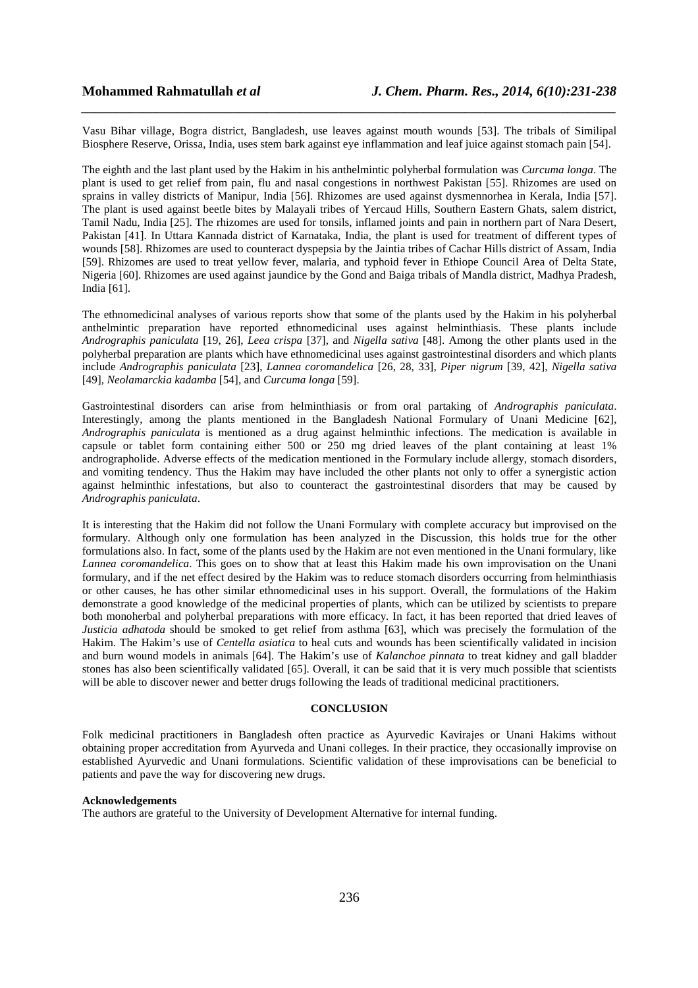Vasu Bihar village, Bogra district, Bangladesh, use leaves against mouth wounds [53]. The tribals of Similipal Biosphere Reserve, Orissa, India, uses stem bark against eye inflammation and leaf juice against stomach pain [54].

*\_\_\_\_\_\_\_\_\_\_\_\_\_\_\_\_\_\_\_\_\_\_\_\_\_\_\_\_\_\_\_\_\_\_\_\_\_\_\_\_\_\_\_\_\_\_\_\_\_\_\_\_\_\_\_\_\_\_\_\_\_\_\_\_\_\_\_\_\_\_\_\_\_\_\_\_\_\_*

The eighth and the last plant used by the Hakim in his anthelmintic polyherbal formulation was *Curcuma longa*. The plant is used to get relief from pain, flu and nasal congestions in northwest Pakistan [55]. Rhizomes are used on sprains in valley districts of Manipur, India [56]. Rhizomes are used against dysmennorhea in Kerala, India [57]. The plant is used against beetle bites by Malayali tribes of Yercaud Hills, Southern Eastern Ghats, salem district, Tamil Nadu, India [25]. The rhizomes are used for tonsils, inflamed joints and pain in northern part of Nara Desert, Pakistan [41]. In Uttara Kannada district of Karnataka, India, the plant is used for treatment of different types of wounds [58]. Rhizomes are used to counteract dyspepsia by the Jaintia tribes of Cachar Hills district of Assam, India [59]. Rhizomes are used to treat yellow fever, malaria, and typhoid fever in Ethiope Council Area of Delta State, Nigeria [60]. Rhizomes are used against jaundice by the Gond and Baiga tribals of Mandla district, Madhya Pradesh, India [61].

The ethnomedicinal analyses of various reports show that some of the plants used by the Hakim in his polyherbal anthelmintic preparation have reported ethnomedicinal uses against helminthiasis. These plants include *Andrographis paniculata* [19, 26], *Leea crispa* [37], and *Nigella sativa* [48]. Among the other plants used in the polyherbal preparation are plants which have ethnomedicinal uses against gastrointestinal disorders and which plants include *Andrographis paniculata* [23], *Lannea coromandelica* [26, 28, 33], *Piper nigrum* [39, 42], *Nigella sativa* [49], *Neolamarckia kadamba* [54], and *Curcuma longa* [59].

Gastrointestinal disorders can arise from helminthiasis or from oral partaking of *Andrographis paniculata*. Interestingly, among the plants mentioned in the Bangladesh National Formulary of Unani Medicine [62], *Andrographis paniculata* is mentioned as a drug against helminthic infections. The medication is available in capsule or tablet form containing either 500 or 250 mg dried leaves of the plant containing at least 1% andrographolide. Adverse effects of the medication mentioned in the Formulary include allergy, stomach disorders, and vomiting tendency. Thus the Hakim may have included the other plants not only to offer a synergistic action against helminthic infestations, but also to counteract the gastrointestinal disorders that may be caused by *Andrographis paniculata*.

It is interesting that the Hakim did not follow the Unani Formulary with complete accuracy but improvised on the formulary. Although only one formulation has been analyzed in the Discussion, this holds true for the other formulations also. In fact, some of the plants used by the Hakim are not even mentioned in the Unani formulary, like *Lannea coromandelica*. This goes on to show that at least this Hakim made his own improvisation on the Unani formulary, and if the net effect desired by the Hakim was to reduce stomach disorders occurring from helminthiasis or other causes, he has other similar ethnomedicinal uses in his support. Overall, the formulations of the Hakim demonstrate a good knowledge of the medicinal properties of plants, which can be utilized by scientists to prepare both monoherbal and polyherbal preparations with more efficacy. In fact, it has been reported that dried leaves of *Justicia adhatoda* should be smoked to get relief from asthma [63], which was precisely the formulation of the Hakim. The Hakim's use of *Centella asiatica* to heal cuts and wounds has been scientifically validated in incision and burn wound models in animals [64]. The Hakim's use of *Kalanchoe pinnata* to treat kidney and gall bladder stones has also been scientifically validated [65]. Overall, it can be said that it is very much possible that scientists will be able to discover newer and better drugs following the leads of traditional medicinal practitioners.

### **CONCLUSION**

Folk medicinal practitioners in Bangladesh often practice as Ayurvedic Kavirajes or Unani Hakims without obtaining proper accreditation from Ayurveda and Unani colleges. In their practice, they occasionally improvise on established Ayurvedic and Unani formulations. Scientific validation of these improvisations can be beneficial to patients and pave the way for discovering new drugs.

#### **Acknowledgements**

The authors are grateful to the University of Development Alternative for internal funding.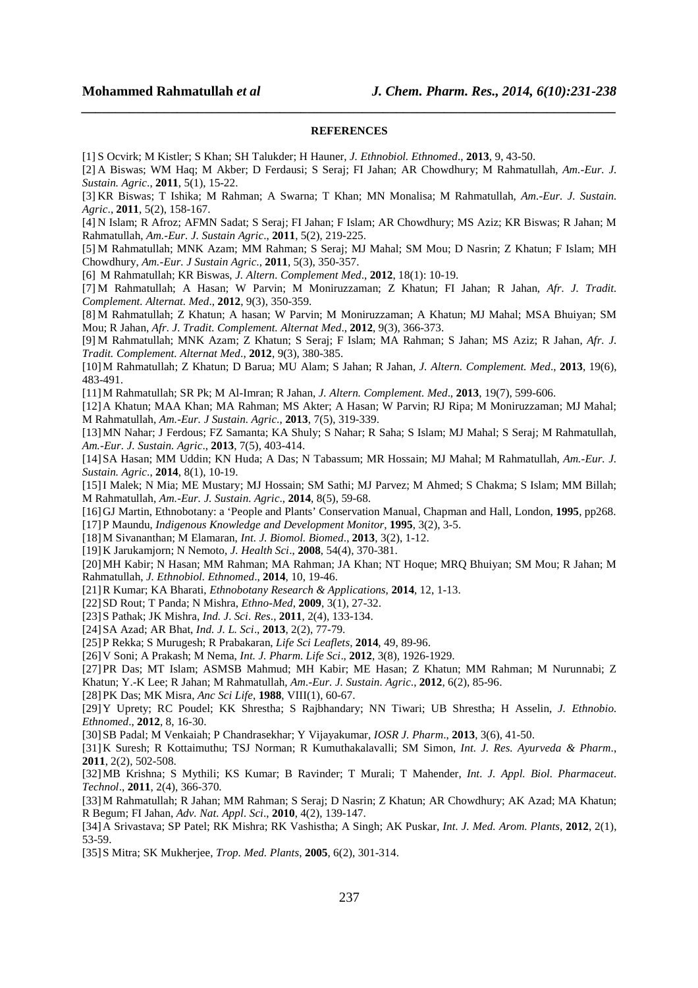#### **REFERENCES**

*\_\_\_\_\_\_\_\_\_\_\_\_\_\_\_\_\_\_\_\_\_\_\_\_\_\_\_\_\_\_\_\_\_\_\_\_\_\_\_\_\_\_\_\_\_\_\_\_\_\_\_\_\_\_\_\_\_\_\_\_\_\_\_\_\_\_\_\_\_\_\_\_\_\_\_\_\_\_*

[1] S Ocvirk; M Kistler; S Khan; SH Talukder; H Hauner, *J. Ethnobiol. Ethnomed*., **2013**, 9, 43-50.

[2] A Biswas; WM Haq; M Akber; D Ferdausi; S Seraj; FI Jahan; AR Chowdhury; M Rahmatullah, *Am.-Eur. J. Sustain. Agric*., **2011**, 5(1), 15-22.

[3] KR Biswas; T Ishika; M Rahman; A Swarna; T Khan; MN Monalisa; M Rahmatullah, *Am.-Eur. J. Sustain. Agric*., **2011**, 5(2), 158-167.

[4] N Islam; R Afroz; AFMN Sadat; S Seraj; FI Jahan; F Islam; AR Chowdhury; MS Aziz; KR Biswas; R Jahan; M Rahmatullah, *Am.-Eur. J. Sustain Agric*., **2011**, 5(2), 219-225.

[5] M Rahmatullah; MNK Azam; MM Rahman; S Seraj; MJ Mahal; SM Mou; D Nasrin; Z Khatun; F Islam; MH Chowdhury, *Am.-Eur. J Sustain Agric*., **2011**, 5(3), 350-357.

[6] M Rahmatullah; KR Biswas, *J. Altern. Complement Med*., **2012**, 18(1): 10-19.

[7] M Rahmatullah; A Hasan; W Parvin; M Moniruzzaman; Z Khatun; FI Jahan; R Jahan, *Afr. J. Tradit. Complement. Alternat. Med*., **2012**, 9(3), 350-359.

[8] M Rahmatullah; Z Khatun; A hasan; W Parvin; M Moniruzzaman; A Khatun; MJ Mahal; MSA Bhuiyan; SM Mou; R Jahan, *Afr. J. Tradit. Complement. Alternat Med*., **2012**, 9(3), 366-373.

[9] M Rahmatullah; MNK Azam; Z Khatun; S Seraj; F Islam; MA Rahman; S Jahan; MS Aziz; R Jahan, *Afr. J. Tradit. Complement. Alternat Med*., **2012**, 9(3), 380-385.

[10]M Rahmatullah; Z Khatun; D Barua; MU Alam; S Jahan; R Jahan, *J. Altern. Complement. Med*., **2013**, 19(6), 483-491.

[11]M Rahmatullah; SR Pk; M Al-Imran; R Jahan, *J. Altern. Complement. Med*., **2013**, 19(7), 599-606.

[12]A Khatun; MAA Khan; MA Rahman; MS Akter; A Hasan; W Parvin; RJ Ripa; M Moniruzzaman; MJ Mahal; M Rahmatullah, *Am.-Eur. J Sustain. Agric*., **2013**, 7(5), 319-339.

[13]MN Nahar; J Ferdous; FZ Samanta; KA Shuly; S Nahar; R Saha; S Islam; MJ Mahal; S Seraj; M Rahmatullah, *Am.-Eur. J. Sustain. Agric*., **2013**, 7(5), 403-414.

[14]SA Hasan; MM Uddin; KN Huda; A Das; N Tabassum; MR Hossain; MJ Mahal; M Rahmatullah, *Am.-Eur. J. Sustain. Agric*., **2014**, 8(1), 10-19.

[15]I Malek; N Mia; ME Mustary; MJ Hossain; SM Sathi; MJ Parvez; M Ahmed; S Chakma; S Islam; MM Billah; M Rahmatullah, *Am.-Eur. J. Sustain. Agric*., **2014**, 8(5), 59-68.

[16]GJ Martin, Ethnobotany: a 'People and Plants' Conservation Manual, Chapman and Hall, London, **1995**, pp268. [17]P Maundu, *Indigenous Knowledge and Development Monitor*, **1995**, 3(2), 3-5.

[18]M Sivananthan; M Elamaran, *Int. J. Biomol. Biomed*., **2013**, 3(2), 1-12.

[19]K Jarukamjorn; N Nemoto, *J. Health Sci*., **2008**, 54(4), 370-381.

[20]MH Kabir; N Hasan; MM Rahman; MA Rahman; JA Khan; NT Hoque; MRQ Bhuiyan; SM Mou; R Jahan; M Rahmatullah, *J. Ethnobiol. Ethnomed*., **2014**, 10, 19-46.

[21]R Kumar; KA Bharati, *Ethnobotany Research & Applications*, **2014**, 12, 1-13.

[22]SD Rout; T Panda; N Mishra, *Ethno-Med*, **2009**, 3(1), 27-32.

[23]S Pathak; JK Mishra, *Ind. J. Sci. Res*., **2011**, 2(4), 133-134.

[24]SA Azad; AR Bhat, *Ind. J. L. Sci*., **2013**, 2(2), 77-79.

[25]P Rekka; S Murugesh; R Prabakaran, *Life Sci Leaflets*, **2014**, 49, 89-96.

[26]V Soni; A Prakash; M Nema, *Int. J. Pharm. Life Sci*., **2012**, 3(8), 1926-1929.

[27]PR Das; MT Islam; ASMSB Mahmud; MH Kabir; ME Hasan; Z Khatun; MM Rahman; M Nurunnabi; Z Khatun; Y.-K Lee; R Jahan; M Rahmatullah, *Am.-Eur. J. Sustain. Agric*., **2012**, 6(2), 85-96.

[28]PK Das; MK Misra, *Anc Sci Life*, **1988**, VIII(1), 60-67.

[29]Y Uprety; RC Poudel; KK Shrestha; S Rajbhandary; NN Tiwari; UB Shrestha; H Asselin, *J. Ethnobio. Ethnomed*., **2012**, 8, 16-30.

[30]SB Padal; M Venkaiah; P Chandrasekhar; Y Vijayakumar, *IOSR J. Pharm*., **2013**, 3(6), 41-50.

[31]K Suresh; R Kottaimuthu; TSJ Norman; R Kumuthakalavalli; SM Simon, *Int. J. Res. Ayurveda & Pharm*., **2011**, 2(2), 502-508.

[32]MB Krishna; S Mythili; KS Kumar; B Ravinder; T Murali; T Mahender, *Int. J. Appl. Biol. Pharmaceut. Technol*., **2011**, 2(4), 366-370.

[33]M Rahmatullah; R Jahan; MM Rahman; S Seraj; D Nasrin; Z Khatun; AR Chowdhury; AK Azad; MA Khatun; R Begum; FI Jahan, *Adv. Nat. Appl. Sci*., **2010**, 4(2), 139-147.

[34]A Srivastava; SP Patel; RK Mishra; RK Vashistha; A Singh; AK Puskar, *Int. J. Med. Arom. Plants*, **2012**, 2(1), 53-59.

[35]S Mitra; SK Mukherjee, *Trop. Med. Plants*, **2005**, 6(2), 301-314.